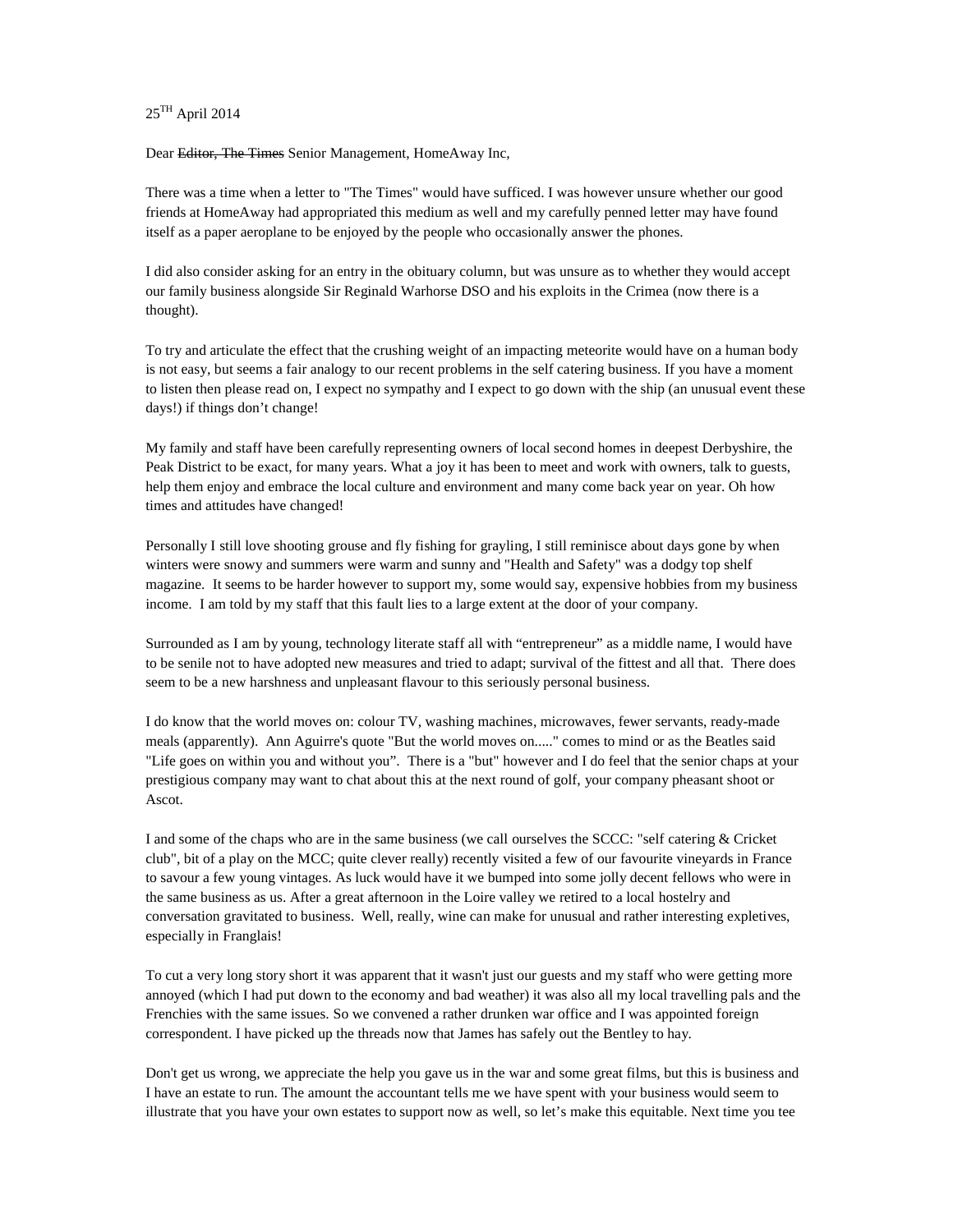25TH April 2014

Dear Editor, The Times Senior Management, HomeAway Inc,

There was a time when a letter to "The Times" would have sufficed. I was however unsure whether our good friends at HomeAway had appropriated this medium as well and my carefully penned letter may have found itself as a paper aeroplane to be enjoyed by the people who occasionally answer the phones.

I did also consider asking for an entry in the obituary column, but was unsure as to whether they would accept our family business alongside Sir Reginald Warhorse DSO and his exploits in the Crimea (now there is a thought).

To try and articulate the effect that the crushing weight of an impacting meteorite would have on a human body is not easy, but seems a fair analogy to our recent problems in the self catering business. If you have a moment to listen then please read on, I expect no sympathy and I expect to go down with the ship (an unusual event these days!) if things don't change!

My family and staff have been carefully representing owners of local second homes in deepest Derbyshire, the Peak District to be exact, for many years. What a joy it has been to meet and work with owners, talk to guests, help them enjoy and embrace the local culture and environment and many come back year on year. Oh how times and attitudes have changed!

Personally I still love shooting grouse and fly fishing for grayling, I still reminisce about days gone by when winters were snowy and summers were warm and sunny and "Health and Safety" was a dodgy top shelf magazine. It seems to be harder however to support my, some would say, expensive hobbies from my business income. I am told by my staff that this fault lies to a large extent at the door of your company.

Surrounded as I am by young, technology literate staff all with "entrepreneur" as a middle name, I would have to be senile not to have adopted new measures and tried to adapt; survival of the fittest and all that. There does seem to be a new harshness and unpleasant flavour to this seriously personal business.

I do know that the world moves on: colour TV, washing machines, microwaves, fewer servants, ready-made meals (apparently). Ann Aguirre's quote "But the world moves on....." comes to mind or as the Beatles said "Life goes on within you and without you". There is a "but" however and I do feel that the senior chaps at your prestigious company may want to chat about this at the next round of golf, your company pheasant shoot or Ascot.

I and some of the chaps who are in the same business (we call ourselves the SCCC: "self catering & Cricket club", bit of a play on the MCC; quite clever really) recently visited a few of our favourite vineyards in France to savour a few young vintages. As luck would have it we bumped into some jolly decent fellows who were in the same business as us. After a great afternoon in the Loire valley we retired to a local hostelry and conversation gravitated to business. Well, really, wine can make for unusual and rather interesting expletives, especially in Franglais!

To cut a very long story short it was apparent that it wasn't just our guests and my staff who were getting more annoyed (which I had put down to the economy and bad weather) it was also all my local travelling pals and the Frenchies with the same issues. So we convened a rather drunken war office and I was appointed foreign correspondent. I have picked up the threads now that James has safely out the Bentley to hay.

Don't get us wrong, we appreciate the help you gave us in the war and some great films, but this is business and I have an estate to run. The amount the accountant tells me we have spent with your business would seem to illustrate that you have your own estates to support now as well, so let's make this equitable. Next time you tee